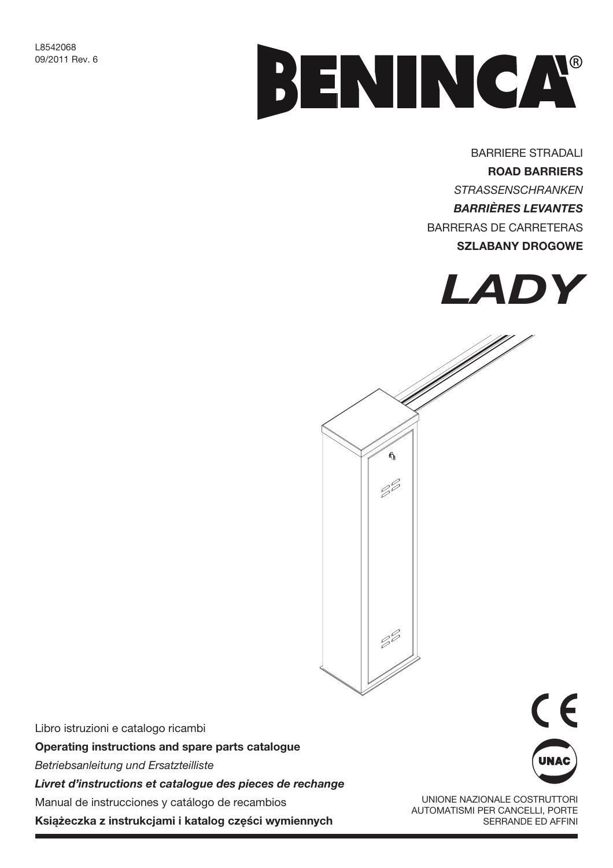

**BARRIERE STRADALI ROAD BARRIERS STRASSENSCHRANKEN BARRIÈRES LEVANTES** BARRERAS DE CARRETERAS **SZLABANY DROGOWE** 





Libro istruzioni e catalogo ricambi Operating instructions and spare parts catalogue Betriebsanleitung und Ersatzteilliste Livret d'instructions et catalogue des pieces de rechange Manual de instrucciones y catálogo de recambios

Książeczka z instrukcjami i katalog części wymiennych



UNIONE NAZIONALE COSTRUTTORI **AUTOMATISMI PER CANCELLI, PORTE** SERRANDE ED AFFINI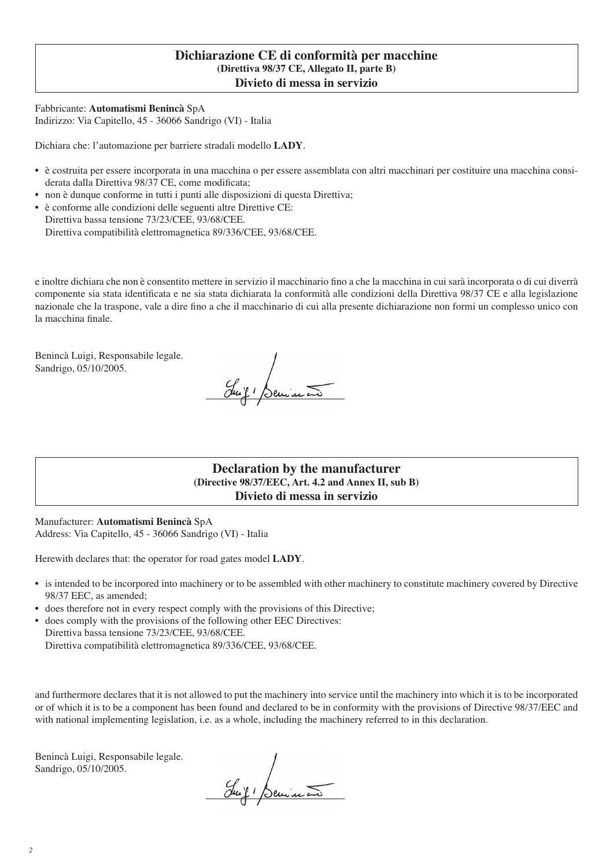#### **Dichiarazione CE di conformità per macchine (Direttiva 98/37 CE, Allegato II, parte B) Divieto di messa in servizio**

Fabbricante: **Automatismi Benincà** SpA Indirizzo: Via Capitello, 45 - 36066 Sandrigo (VI) - Italia

Dichiara che: l'automazione per barriere stradali modello **LADY**.

- è costruita per essere incorporata in una macchina o per essere assemblata con altri macchinari per costituire una macchina considerata dalla Direttiva 98/37 CE, come modificata;
- non è dunque conforme in tutti i punti alle disposizioni di questa Direttiva;
- è conforme alle condizioni delle seguenti altre Direttive CE: Direttiva bassa tensione 73/23/CEE, 93/68/CEE. Direttiva compatibilità elettromagnetica 89/336/CEE, 93/68/CEE.

e inoltre dichiara che non è consentito mettere in servizio il macchinario fino a che la macchina in cui sarà incorporata o di cui diverrà componente sia stata identificata e ne sia stata dichiarata la conformità alle condizioni della Direttiva 98/37 CE e alla legislazione nazionale che la traspone, vale a dire fino a che il macchinario di cui alla presente dichiarazione non formi un complesso unico con la macchina finale.

Benincà Luigi, Responsabile legale. Sandrigo, 05/10/2005.

Juif Benincon

**Declaration by the manufacturer (Directive 98/37/EEC, Art. 4.2 and Annex II, sub B) Divieto di messa in servizio**

Manufacturer: **Automatismi Benincà** SpA Address: Via Capitello, 45 - 36066 Sandrigo (VI) - Italia

Herewith declares that: the operator for road gates model **LADY**.

- is intended to be incorpored into machinery or to be assembled with other machinery to constitute machinery covered by Directive 98/37 EEC, as amended;
- does therefore not in every respect comply with the provisions of this Directive;
- does comply with the provisions of the following other EEC Directives: Direttiva bassa tensione 73/23/CEE, 93/68/CEE.

Direttiva compatibilità elettromagnetica 89/336/CEE, 93/68/CEE.

and furthermore declares that it is not allowed to put the machinery into service until the machinery into which it is to be incorporated or of which it is to be a component has been found and declared to be in conformity with the provisions of Directive 98/37/EEC and with national implementing legislation, i.e. as a whole, including the machinery referred to in this declaration.

Benincà Luigi, Responsabile legale. Sandrigo, 05/10/2005.

Suit 1 Senine 20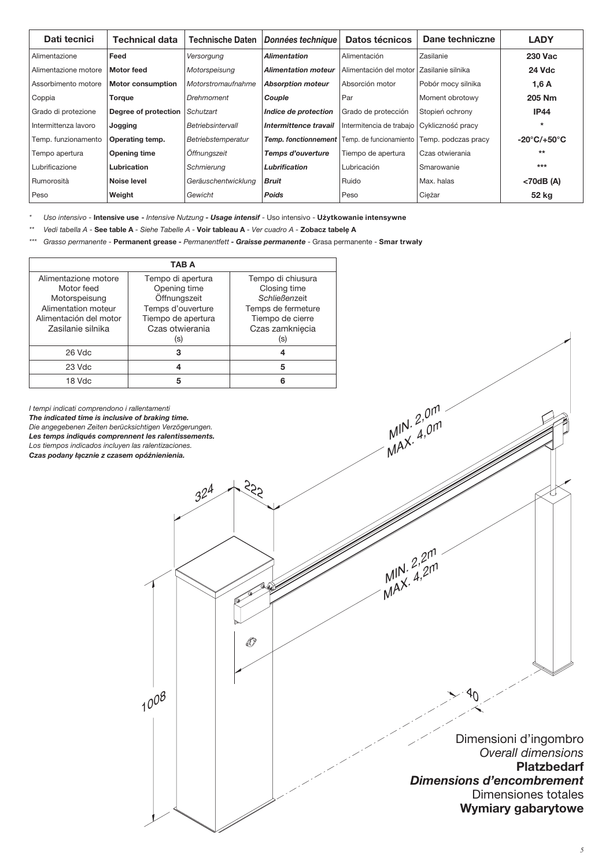| Dati tecnici         | <b>Technical data</b>    | <b>Technische Daten</b> | Données technique          | Datos técnicos           | Dane techniczne     | <b>LADY</b>                      |
|----------------------|--------------------------|-------------------------|----------------------------|--------------------------|---------------------|----------------------------------|
| Alimentazione        | Feed                     | Versorgung              | <b>Alimentation</b>        | Alimentación             | Zasilanie           | <b>230 Vac</b>                   |
| Alimentazione motore | <b>Motor feed</b>        | Motorspeisung           | <b>Alimentation moteur</b> | Alimentación del motor   | Zasilanie silnika   | <b>24 Vdc</b>                    |
| Assorbimento motore  | <b>Motor consumption</b> | Motorstromaufnahme      | <b>Absorption moteur</b>   | Absorción motor          | Pobór mocy silnika  | 1,6A                             |
| Coppia               | Torque                   | Drehmoment              | Couple                     | . Par                    | Moment obrotowy     | 205 Nm                           |
| Grado di protezione  | Degree of protection     | Schutzart               | Indice de protection       | Grado de protección      | Stopień ochrony     | <b>IP44</b>                      |
| Intermittenza lavoro | Jogging                  | Betriebsintervall       | Intermittence travail      | Intermitencia de trabajo | Cykliczność pracy   |                                  |
| Temp. funzionamento  | Operating temp.          | Betriebstemperatur      | Temp. fonctionnement       | Temp. de funcionamiento  | Temp. podczas pracy | $-20^{\circ}$ C/+50 $^{\circ}$ C |
| Tempo apertura       | Opening time             | Öffnungszeit            | Temps d'ouverture          | Tiempo de apertura       | Czas otwierania     | $***$                            |
| Lubrificazione       | Lubrication              | Schmierung              | Lubrification              | Lubricación              | Smarowanie          | $***$                            |
| Rumorosità           | Noise level              | Geräuschentwicklung     | <b>Bruit</b>               | Ruido                    | Max, halas          | <70dB (A)                        |
| Peso                 | Weight                   | Gewicht                 | <b>Poids</b>               | Peso                     | Ciężar              | 52 kg                            |

Uso intensivo - Intensive use - Intensive Nutzung - Usage intensif - Uso intensivo - Użytkowanie intensywne

Vedi tabella A - See table A - Siehe Tabelle A - Voir tableau A - Ver cuadro A - Zobacz tabelę A

Grasso permanente - Permanent grease - Permanentfett - Graisse permanente - Grasa permanente - Smar trwały

O

| <b>TAB A</b>                                                                                                              |                                                                                                                        |                                                                                                                        |  |  |  |  |  |
|---------------------------------------------------------------------------------------------------------------------------|------------------------------------------------------------------------------------------------------------------------|------------------------------------------------------------------------------------------------------------------------|--|--|--|--|--|
| Alimentazione motore<br>Motor feed<br>Motorspeisung<br>Alimentation moteur<br>Alimentación del motor<br>Zasilanie silnika | Tempo di apertura<br>Opening time<br>Öffnungszeit<br>Temps d'ouverture<br>Tiempo de apertura<br>Czas otwierania<br>(S) | Tempo di chiusura<br>Closing time<br>Schließenzeit<br>Temps de fermeture<br>Tiempo de cierre<br>Czas zamknięcia<br>(S) |  |  |  |  |  |
| 26 Vdc                                                                                                                    | 3                                                                                                                      | 4                                                                                                                      |  |  |  |  |  |
| 23 Vdc                                                                                                                    |                                                                                                                        | 5                                                                                                                      |  |  |  |  |  |
| 18 Vdc                                                                                                                    | 5                                                                                                                      |                                                                                                                        |  |  |  |  |  |

I tempi indicati comprendono i rallentamenti The indicated time is inclusive of braking time. Die angegebenen Zeiten berücksichtigen Verzögerungen. Les temps indiqués comprennent les ralentissements. Los tiempos indicados incluyen las ralentizaciones. Czas podany łącznie z czasem opóźnienienia.

 $1008$ 



Dimensioni d'ingombro Overall dimensions **Platzbedarf Dimensions d'encombrement** Dimensiones totales **Wymiary gabarytowe**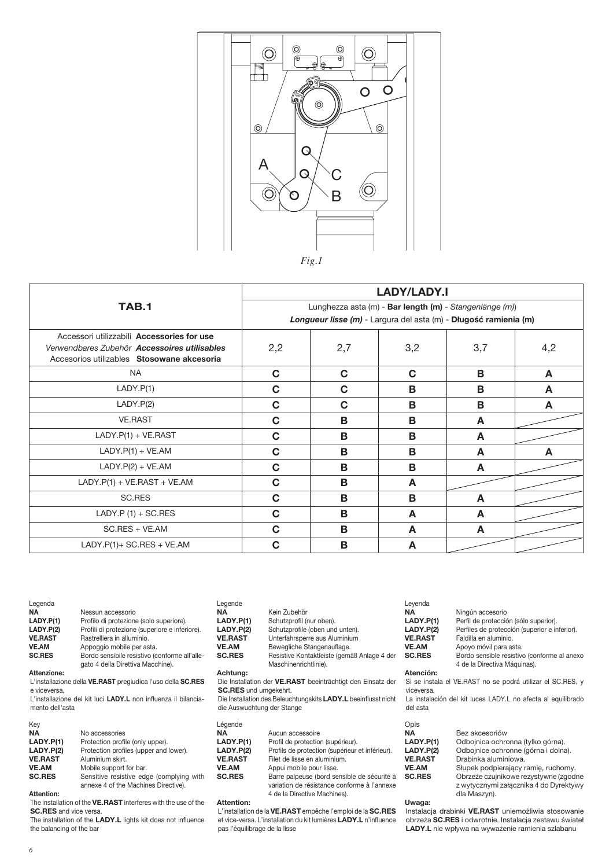

|                                                                                                                                          | <b>LADY/LADY.I</b>                                                                                                          |             |     |     |     |  |
|------------------------------------------------------------------------------------------------------------------------------------------|-----------------------------------------------------------------------------------------------------------------------------|-------------|-----|-----|-----|--|
| <b>TAB.1</b>                                                                                                                             | Lunghezza asta (m) - Bar length (m) - Stangenlänge (m))<br>Longueur lisse (m) - Largura del asta (m) - Długość ramienia (m) |             |     |     |     |  |
| Accessori utilizzabili Accessories for use<br>Verwendbares Zubehör Accessoires utilisables<br>Accesorios utilizables Stosowane akcesoria | 2,2                                                                                                                         | 2,7         | 3,2 | 3,7 | 4,2 |  |
| <b>NA</b>                                                                                                                                | $\mathbf C$                                                                                                                 | C           | C   | В   | A   |  |
| LADY.P(1)                                                                                                                                | $\mathbf C$                                                                                                                 | $\mathbf C$ | В   | В   | A   |  |
| LADY.P(2)                                                                                                                                | C                                                                                                                           | C           | B   | B   | A   |  |
| <b>VE.RAST</b>                                                                                                                           | C                                                                                                                           | B           | В   | A   |     |  |
| $LADY.P(1) + VE.RAST$                                                                                                                    | C                                                                                                                           | B           | B   | A   |     |  |
| $LADY.P(1) + VE.AM$                                                                                                                      | C                                                                                                                           | B           | B   | A   | A   |  |
| $LADY.P(2) + VE.AM$                                                                                                                      | C                                                                                                                           | B           | B   | A   |     |  |
| $LADY.P(1) + VE.RAST + VE.AM$                                                                                                            | $\mathbf C$                                                                                                                 | B           | A   |     |     |  |
| <b>SC.RES</b>                                                                                                                            | C                                                                                                                           | B           | B   | A   |     |  |
| $LADY.P$ (1) + SC.RES                                                                                                                    | C                                                                                                                           | B           | A   | A   |     |  |
| $SC.RES + VE. AM$                                                                                                                        | C                                                                                                                           | B           | A   | A   |     |  |
| $LADV.P(1) + SC.FES + VE.AM$                                                                                                             | C                                                                                                                           | B           | A   |     |     |  |

| Legenda<br>NA.  | Nessun accessorio                                                                  | Legende<br><b>NA</b>         | Kein Zubehör                                                         | Leyenda<br><b>NA</b>          | Ningún accesorio                                                            |
|-----------------|------------------------------------------------------------------------------------|------------------------------|----------------------------------------------------------------------|-------------------------------|-----------------------------------------------------------------------------|
| LADY.P(1)       | Profilo di protezione (solo superiore).                                            | LADY.P(1)                    | Schutzprofil (nur oben).                                             | LADY.P(1)                     | Perfil de protección (sólo superior).                                       |
| LADY.P(2)       | Profili di protezione (superiore e inferiore).                                     | LADY.P(2)                    | Schutzprofile (oben und unten).                                      | LADY.P(2)                     | Perfiles de protección (superior e inferior).                               |
| <b>VE.RAST</b>  | Rastrelliera in alluminio.                                                         | <b>VE.RAST</b>               | Unterfahrsperre aus Aluminium                                        | <b>VE.RAST</b>                | Faldilla en aluminio.                                                       |
| <b>VE.AM</b>    | Appoggio mobile per asta.                                                          | <b>VE.AM</b>                 | Bewegliche Stangenauflage.                                           | <b>VE.AM</b>                  | Apoyo móvil para asta.                                                      |
| <b>SC.RES</b>   | Bordo sensibile resistivo (conforme all'alle-<br>gato 4 della Direttiva Macchine). | <b>SC.RES</b>                | Resistive Kontaktleiste (gemäß Anlage 4 der<br>Maschinenrichtlinie). | <b>SC.RES</b>                 | Bordo sensible resistivo (conforme al anexo<br>4 de la Directiva Máquinas). |
| Attenzione:     |                                                                                    | Achtung:                     |                                                                      | Atención:                     |                                                                             |
| e viceversa.    | L'installazione della VE.RAST pregiudica l'uso della SC.RES                        | <b>SC.RES</b> und umgekehrt. | Die Installation der VE.RAST beeinträchtigt den Einsatz der          | viceversa.                    | Si se instala el VE.RAST no se podrá utilizar el SC.RES, y                  |
| mento dell'asta | L'installazione del kit luci LADY.L non influenza il bilancia-                     | die Auswuchtung der Stange   | Die Installation des Beleuchtungskits LADY.L beeinflusst nicht       | del asta                      | La instalación del kit luces LADY.L no afecta al equilibrado                |
| Key             |                                                                                    | Légende                      |                                                                      | Opis                          |                                                                             |
| <b>NA</b>       | No accessories                                                                     | <b>NA</b>                    | Aucun accessoire                                                     | <b>NA</b>                     | Bez akcesoriów                                                              |
| LADY.P(1)       | Protection profile (only upper).                                                   | LADY.P(1)                    | Profil de protection (supérieur).                                    | LADY.P(1)                     | Odbojnica ochronna (tylko górna).                                           |
| 1.47177(0)      |                                                                                    | . <i>.</i>                   | .                                                                    | $\mathbf{r}$ and $\mathbf{r}$ |                                                                             |

| ney            |                                          |   |
|----------------|------------------------------------------|---|
| <b>NA</b>      | No accessories                           | N |
| LADY.P(1)      | Protection profile (only upper).         | ш |
| LADY.P(2)      | Protection profiles (upper and lower).   | ш |
| <b>VE.RAST</b> | Aluminium skirt.                         | V |
| <b>VE.AM</b>   | Mobile support for bar.                  | V |
| <b>SC.RES</b>  | Sensitive resistive edge (complying with | s |
|                | annexe 4 of the Machines Directive).     |   |

Attention:<br>The installation of the VE.RAST interferes with the use of the **SC.RES** and vice versa.<br>**SC.RES** and vice versa.<br>The installation of the **LADY.L** lights kit does not influence

the balancing of the bar

#### <sub>-egende</sub><br>NA<br>LADY.P(1) Aucun accessoire<br>Profil de protection (supérieur). **LADT.P(I)**<br>LADY.P(2)<br>VE.RAST Profils de protection (supérieur et inférieur). Filet de lisse en aluminium. Z. . . . . . .<br>ZE. AM Appui mobile pour lisse.<br>Barre palpeuse (bord sensible de sécurité à<br>variation de résistance conforme à l'annexe .\_......<br>SC.RES 4 de la Directive Machines).

#### Attention:

Attenuon:<br>L'installation de la VE.RAST empêche l'emploi de la SC.RES<br>et vice-versa. L'installation du kit lumières LADY.L n'influence pas l'équilibrage de la lisse

| Uwaga:                                                  |
|---------------------------------------------------------|
| Instalacja drabinki VE.RAST uniemożliwia stosowanie     |
| obrzeża SC.RES i odwrotnie. Instalacja zestawu świate   |
| <b>LADY.L</b> nie wpływa na wyważenie ramienia szlabanu |

Odbojnice ochronne (górna i dolna).

Outopinice ourionnic gorna i donay.<br>Drabinka aluminiowa.<br>Słupek podpierający ramię, ruchomy.<br>Obrzeże czujnikowe rezystywne (zgodne<br>z wytycznymi załącznika 4 do Dyrektywy<br>dla Maszyn).

LADT.P(1)<br>LADY.P(2)<br>VE.RAST

VE.AM

SC.RES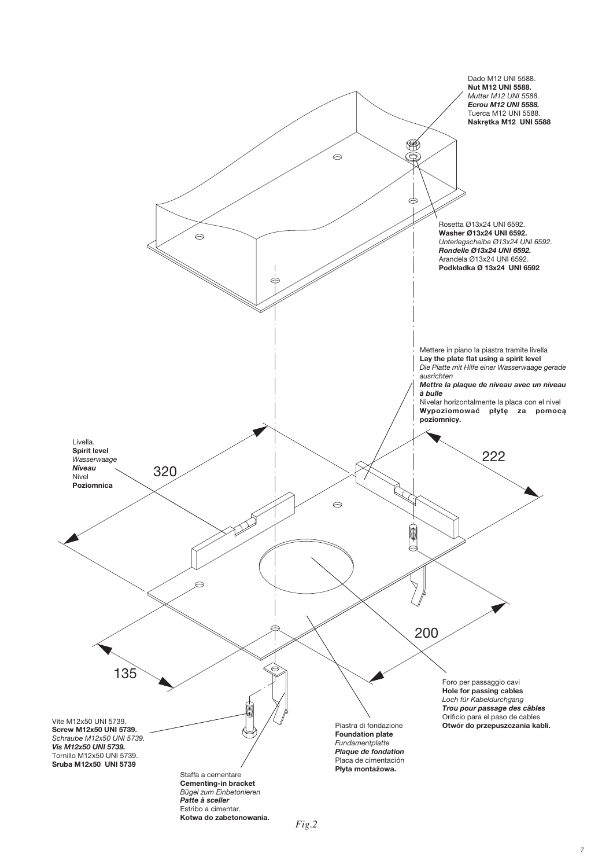

 $Fig.2$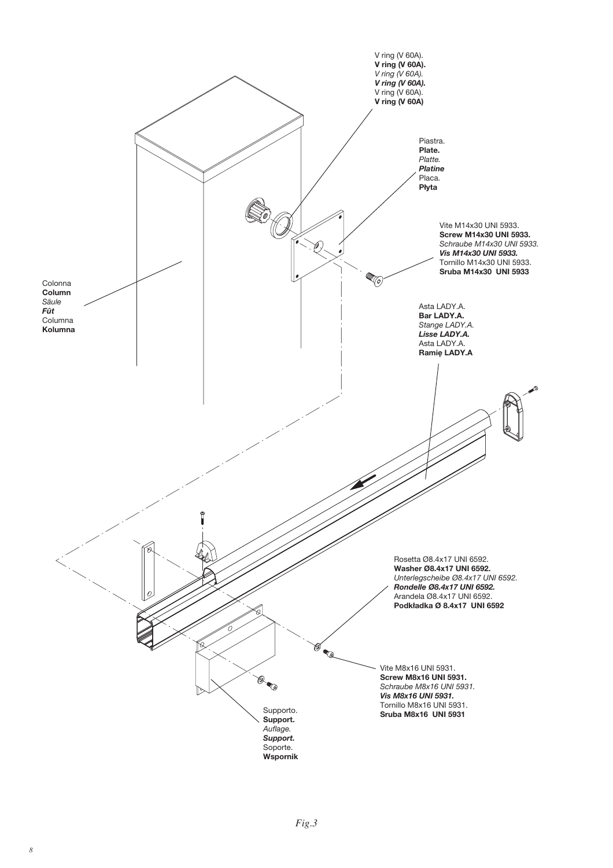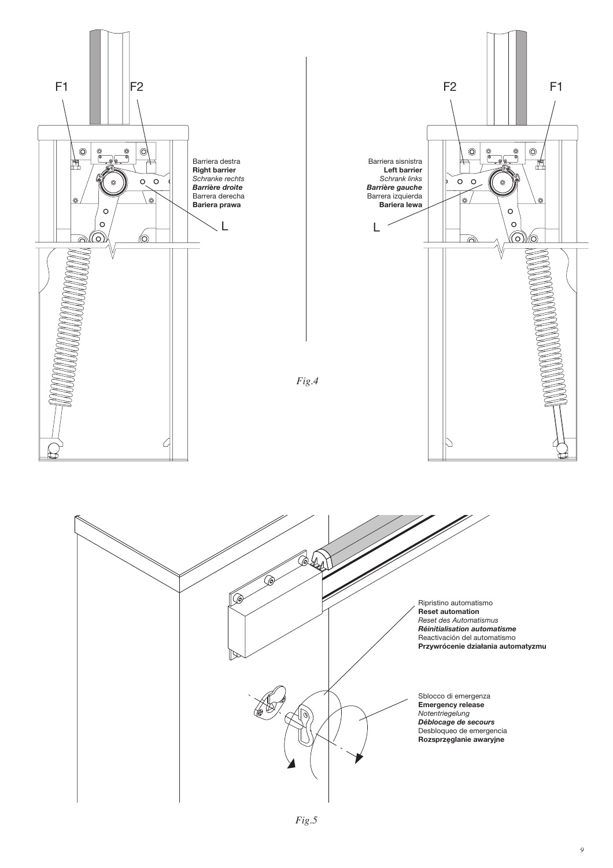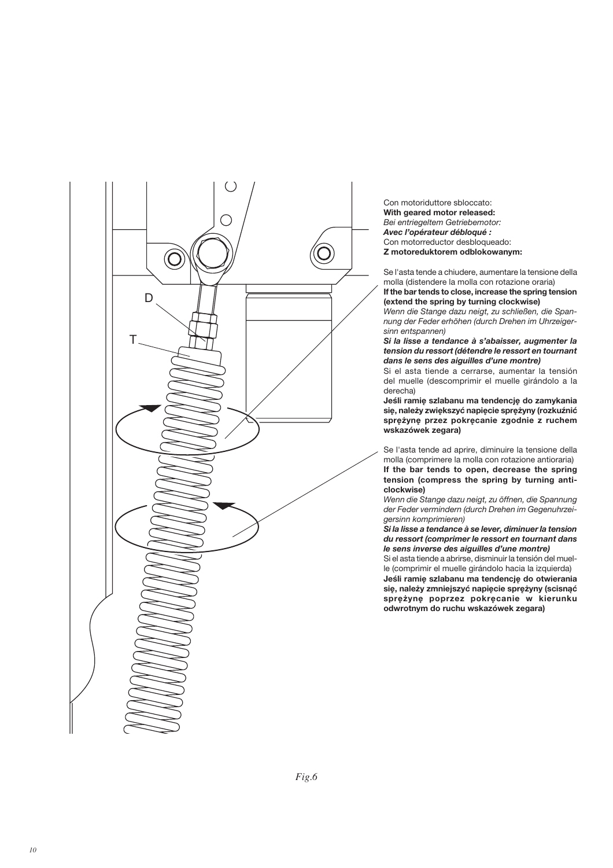

Con motoriduttore sbloccato: With geared motor released: Bei entriegeltem Getriebemotor: Avec l'opérateur débloqué : Con motorreductor desbloqueado: Z motoreduktorem odblokowanym:

Se l'asta tende a chiudere, aumentare la tensione della molla (distendere la molla con rotazione oraria) If the bar tends to close, increase the spring tension (extend the spring by turning clockwise)

Wenn die Stange dazu neigt, zu schließen, die Spannung der Feder erhöhen (durch Drehen im Uhrzeigersinn entspannen)

Si la lisse a tendance à s'abaisser, augmenter la tension du ressort (détendre le ressort en tournant dans le sens des aiguilles d'une montre)

Si el asta tiende a cerrarse, aumentar la tensión del muelle (descomprimir el muelle girándolo a la derecha)

Jeśli ramię szlabanu ma tendencję do zamykania się, należy zwiększyć napięcie sprężyny (rozkuźnić sprężynę przez pokręcanie zgodnie z ruchem wskazówek zegara)

Se l'asta tende ad aprire, diminuire la tensione della molla (comprimere la molla con rotazione antioraria) If the bar tends to open, decrease the spring tension (compress the spring by turning anticlockwise)

Wenn die Stange dazu neigt, zu öffnen, die Spannung der Feder vermindern (durch Drehen im Gegenuhrzeigersinn komprimieren)

Si la lisse a tendance à se lever, diminuer la tension du ressort (comprimer le ressort en tournant dans le sens inverse des aiguilles d'une montre)

Si el asta tiende a abrirse, disminuir la tensión del muelle (comprimir el muelle girándolo hacia la izquierda) Jeśli ramię szlabanu ma tendencję do otwierania się, należy zmniejszyć napięcie sprężyny (scisnąć sprężynę poprzez pokręcanie w kierunku odwrotnym do ruchu wskazówek zegara)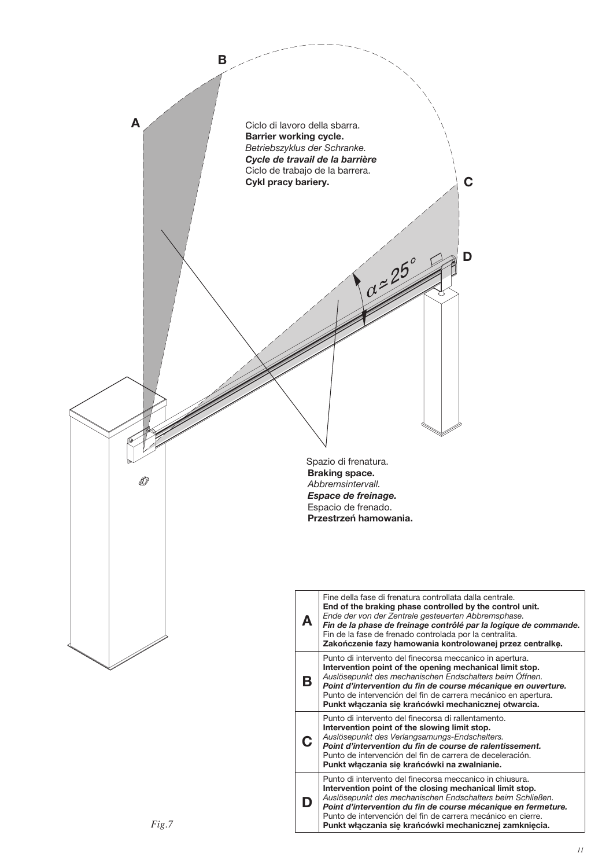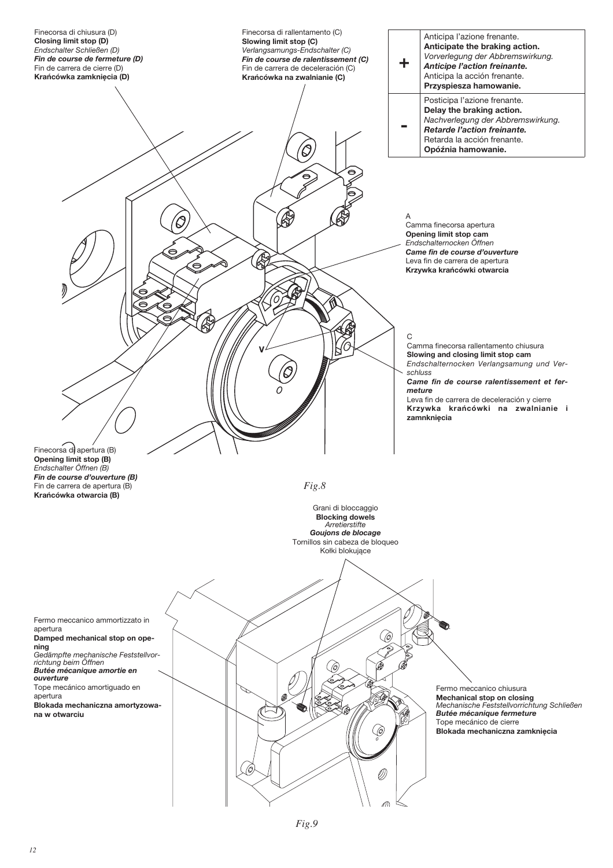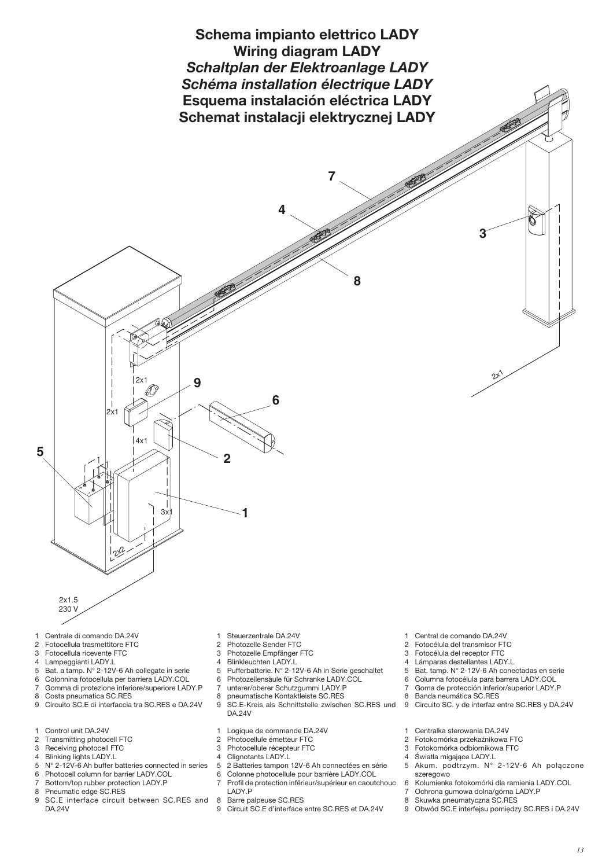

- 
- Centrale di comando DA.24V  $\overline{c}$ Fotocellula trasmettitore FTC
- $\mathcal{R}$ Fotocellula ricevente FTC
- Lampeggianti LADY.L  $\overline{4}$

 $2x15$ 230 V

- 5 Bat. a tamp. N° 2-12V-6 Ah collegate in serie
- Colonnina fotocellula per barriera LADY.COL 6
- $\overline{7}$ Gomma di protezione inferiore/superiore LADY.P

 $12^{2}$ 

- $\mathbf{a}$ Costa pneumatica SC.RES
- Circuito SC.E di interfaccia tra SC.RES e DA.24V 9
- Control unit DA.24V  $\overline{1}$
- $\mathcal{D}$
- Transmitting photocell FTC 3
- Receiving photocell FTC  $\Delta$ **Blinking lights LADY.L**
- $\sqrt{2}$ N° 2-12V-6 Ah buffer batteries connected in series
- 6 Photocell column for barrier LADY.COL
- $\overline{7}$ Bottom/top rubber protection LADY.P
- 8 Pneumatic edge SC.RES
- 9 SC.E interface circuit between SC.RES and **DA.24V**
- Steuerzentrale DA.24V  $\mathfrak{D}$
- Photozelle Sender FTC  $\mathcal{R}$
- Photozelle Empfänger FTC Blinkleuchten LADY.L  $\overline{4}$
- 
- $\sqrt{5}$ Pufferbatterie. N° 2-12V-6 Ah in Serie geschaltet
- $\,6\,$ Photozellensäule für Schranke LADY.COL
- $\overline{7}$ unterer/oberer Schutzgummi LADY.P  $\mathsf{R}$
- pneumatische Kontaktleiste SC.RES
- $\boldsymbol{9}$ SC.E-Kreis als Schnittstelle zwischen SC.RES und **DA.24V**
- Logique de commande DA.24V  $\overline{1}$
- 2 Photocellule émetteur FTC
- $\mathfrak{S}$ Photocellule récepteur FTC
- $\Delta$ Clignotants LADY.L
- 5 2 Batteries tampon 12V-6 Ah connectées en série
- 6 Colonne photocellule pour barrière LADY.COL  $\overline{7}$ Profil de protection inférieur/supérieur en caoutchouc
- LADY.P 8 Barre palpeuse SC.RES
- Circuit SC.E d'interface entre SC.RES et DA.24V 9
- Central de comando DA.24V
- $\mathcal{P}$ Fotocélula del transmisor FTC
- $\overline{3}$ Fotocélula del receptor FTC
- Lámparas destellantes LADY.L  $\overline{4}$
- 5 Bat. tamp. N° 2-12V-6 Ah conectadas en serie
- $\,6\,$ Columna fotocélula para barrera LADY.COL
- $\overline{7}$ Goma de protección inferior/superior LADY.P
- $\mathbf{g}$ Banda neumática SC.RES
- $\boldsymbol{9}$ Circuito SC. y de interfaz entre SC.RES y DA.24V
- Centralka sterowania DA.24V  $\overline{1}$
- Fotokomórka przekaźnikowa FTC  $\mathcal{L}$
- 3 Fotokomórka odbiornikowa FTC
- $\overline{4}$ Światła migające LADY.L
- 5 Akum. podtrzym. N° 2-12V-6 Ah połączone szeregowo
- $\kappa$ Kolumienka fotokomórki dla ramienia LADY.COL
- $\overline{7}$ Ochrona gumowa dolna/górna LADY.P
- $\mathsf{R}$ Skuwka pneumatyczna SC.RES
- 9 Obwód SC.E interfejsu pomiędzy SC.RES i DA.24V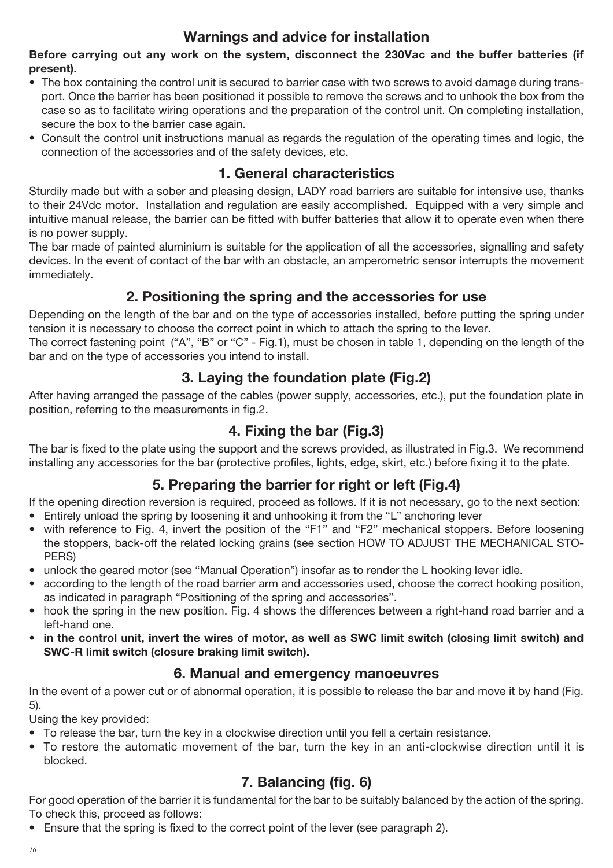## **Warnings and advice for installation**

Before carrying out any work on the system, disconnect the 230Vac and the buffer batteries (if present).

- The box containing the control unit is secured to barrier case with two screws to avoid damage during transport. Once the barrier has been positioned it possible to remove the screws and to unhook the box from the case so as to facilitate wiring operations and the preparation of the control unit. On completing installation, secure the box to the barrier case again.
- Consult the control unit instructions manual as regards the regulation of the operating times and logic, the connection of the accessories and of the safety devices, etc.

## 1. General characteristics

Sturdily made but with a sober and pleasing design, LADY road barriers are suitable for intensive use, thanks to their 24Vdc motor. Installation and regulation are easily accomplished. Equipped with a very simple and intuitive manual release, the barrier can be fitted with buffer batteries that allow it to operate even when there is no power supply.

The bar made of painted aluminium is suitable for the application of all the accessories, signalling and safety devices. In the event of contact of the bar with an obstacle, an amperometric sensor interrupts the movement immediately.

## 2. Positioning the spring and the accessories for use

Depending on the length of the bar and on the type of accessories installed, before putting the spring under tension it is necessary to choose the correct point in which to attach the spring to the lever.

The correct fastening point ("A", "B" or "C" - Fig.1), must be chosen in table 1, depending on the length of the bar and on the type of accessories you intend to install.

## 3. Laying the foundation plate (Fig.2)

After having arranged the passage of the cables (power supply, accessories, etc.), put the foundation plate in position, referring to the measurements in fig.2.

## 4. Fixing the bar (Fig.3)

The bar is fixed to the plate using the support and the screws provided, as illustrated in Fig.3. We recommend installing any accessories for the bar (protective profiles, lights, edge, skirt, etc.) before fixing it to the plate.

## 5. Preparing the barrier for right or left (Fig.4)

If the opening direction reversion is required, proceed as follows. If it is not necessary, go to the next section:

- Entirely unload the spring by loosening it and unhooking it from the "L" anchoring lever
- with reference to Fig. 4, invert the position of the "F1" and "F2" mechanical stoppers. Before loosening the stoppers, back-off the related locking grains (see section HOW TO ADJUST THE MECHANICAL STO-PERS)
- unlock the geared motor (see "Manual Operation") insofar as to render the L hooking lever idle.
- according to the length of the road barrier arm and accessories used, choose the correct hooking position. as indicated in paragraph "Positioning of the spring and accessories".
- hook the spring in the new position. Fig. 4 shows the differences between a right-hand road barrier and a left-hand one.
- in the control unit, invert the wires of motor, as well as SWC limit switch (closing limit switch) and SWC-R limit switch (closure braking limit switch).

## 6. Manual and emergency manoeuvres

In the event of a power cut or of abnormal operation, it is possible to release the bar and move it by hand (Fig.  $5)$ .

Using the key provided:

- To release the bar, turn the key in a clockwise direction until you fell a certain resistance.
- To restore the automatic movement of the bar, turn the key in an anti-clockwise direction until it is blocked.

## 7. Balancing (fig. 6)

For good operation of the barrier it is fundamental for the bar to be suitably balanced by the action of the spring. To check this, proceed as follows:

• Ensure that the spring is fixed to the correct point of the lever (see paragraph 2).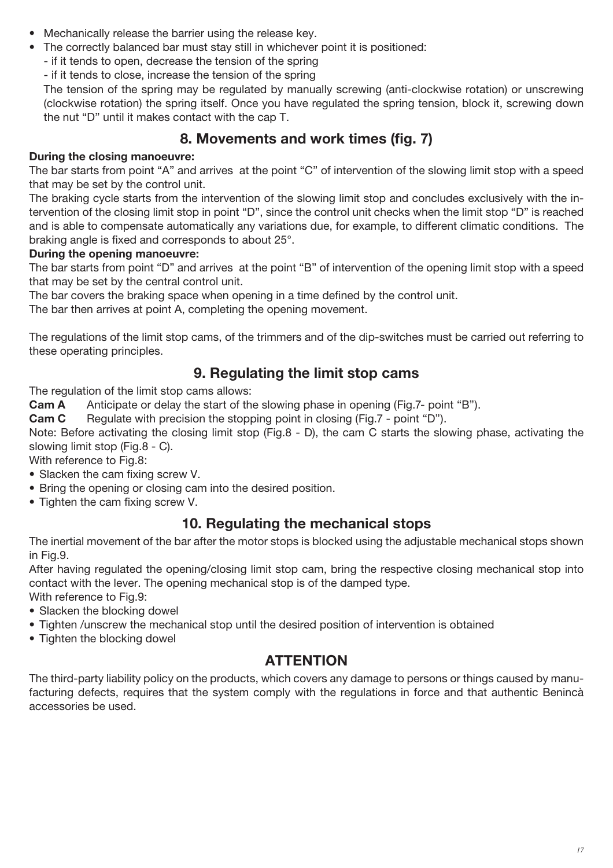- Mechanically release the barrier using the release key.
- The correctly balanced bar must stay still in whichever point it is positioned:
	- if it tends to open, decrease the tension of the spring
	- if it tends to close, increase the tension of the spring

The tension of the spring may be regulated by manually screwing (anti-clockwise rotation) or unscrewing (clockwise rotation) the spring itself. Once you have regulated the spring tension, block it, screwing down the nut "D" until it makes contact with the cap T.

## 8. Movements and work times (fig. 7)

#### During the closing manoeuvre:

The bar starts from point "A" and arrives at the point "C" of intervention of the slowing limit stop with a speed that may be set by the control unit.

The braking cycle starts from the intervention of the slowing limit stop and concludes exclusively with the intervention of the closing limit stop in point "D", since the control unit checks when the limit stop "D" is reached and is able to compensate automatically any variations due, for example, to different climatic conditions. The braking angle is fixed and corresponds to about 25°.

#### During the opening manoeuvre:

The bar starts from point "D" and arrives at the point "B" of intervention of the opening limit stop with a speed that may be set by the central control unit.

The bar covers the braking space when opening in a time defined by the control unit.

The bar then arrives at point A, completing the opening movement.

The regulations of the limit stop cams, of the trimmers and of the dip-switches must be carried out referring to these operating principles.

## 9. Regulating the limit stop cams

The regulation of the limit stop cams allows:

Anticipate or delay the start of the slowing phase in opening (Fig.7- point "B"). Cam A

Cam C Regulate with precision the stopping point in closing (Fig.7 - point "D").

Note: Before activating the closing limit stop (Fig.8 - D), the cam C starts the slowing phase, activating the slowing limit stop (Fig.8 - C).

With reference to Fig.8:

- Slacken the cam fixing screw V.
- Bring the opening or closing cam into the desired position.
- Tighten the cam fixing screw V.

## 10. Regulating the mechanical stops

The inertial movement of the bar after the motor stops is blocked using the adjustable mechanical stops shown in Fig.9.

After having regulated the opening/closing limit stop cam, bring the respective closing mechanical stop into contact with the lever. The opening mechanical stop is of the damped type.

With reference to Fig.9:

- Slacken the blocking dowel
- Tighten /unscrew the mechanical stop until the desired position of intervention is obtained
- Tighten the blocking dowel

## **ATTENTION**

The third-party liability policy on the products, which covers any damage to persons or things caused by manufacturing defects, requires that the system comply with the regulations in force and that authentic Benincà accessories be used.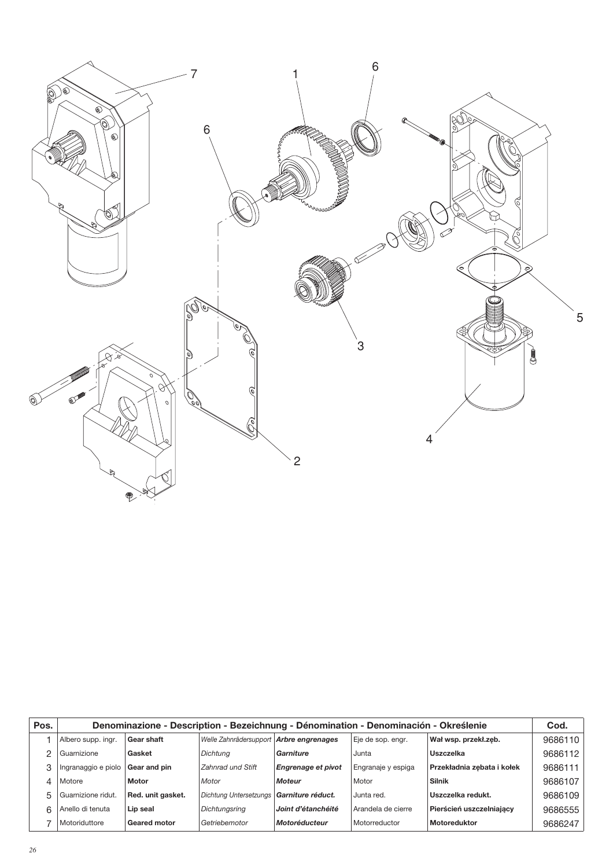

| Pos. | Denominazione - Description - Bezeichnung - Dénomination - Denominación - Określenie |                     |                                            |                           |                    |                            |         |
|------|--------------------------------------------------------------------------------------|---------------------|--------------------------------------------|---------------------------|--------------------|----------------------------|---------|
|      | Albero supp. ingr.                                                                   | Gear shaft          | Welle Zahnrädersupport Arbre engrenages    |                           | Eje de sop. engr.  | Wał wsp. przekł.zeb.       | 9686110 |
|      | Guarnizione                                                                          | Gasket              | Dichtuna                                   | Garniture                 | Junta              | Uszczelka                  | 9686112 |
|      | Ingranaggio e piolo                                                                  | Gear and pin        | Zahnrad und Stift                          | <b>Engrenage et pivot</b> | Engranaje y espiga | Przekładnia zębata i kołek | 9686111 |
|      | Motore                                                                               | <b>Motor</b>        | Motor                                      | <b>Moteur</b>             | Motor              | <b>Silnik</b>              | 9686107 |
| 5    | Guarnizione ridut.                                                                   | Red. unit gasket.   | Dichtung Untersetzungs   Garniture réduct. |                           | Junta red.         | Uszczelka redukt.          | 9686109 |
| ี    | Anello di tenuta                                                                     | Lip seal            | Dichtungsring                              | Joint d'étanchéité        | Arandela de cierre | Pierścień uszczelniający   | 9686555 |
|      | Motoriduttore                                                                        | <b>Geared motor</b> | Getriebemotor                              | Motoréducteur             | Motorreductor      | <b>Motoreduktor</b>        | 9686247 |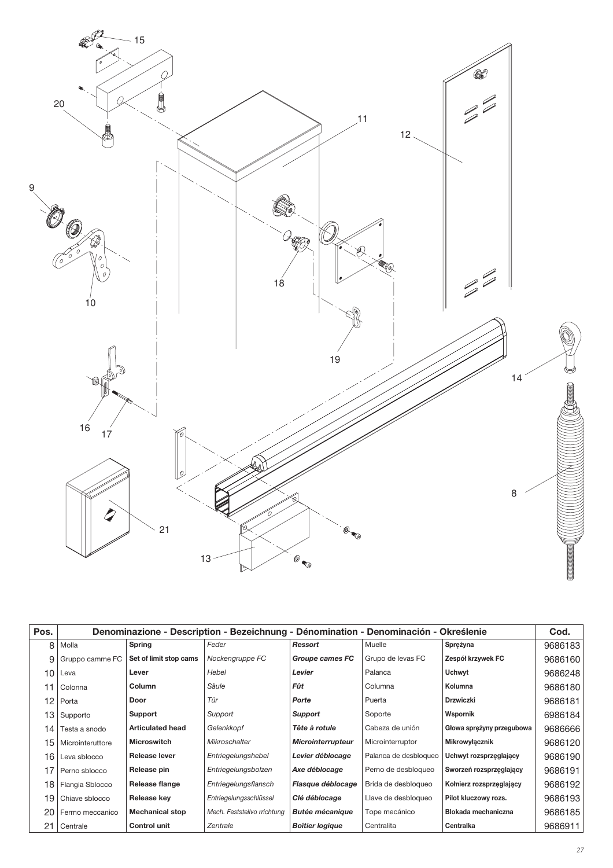

| Pos. | Denominazione - Description - Bezeichnung - Dénomination - Denominación - Określenie |                         |                             |                          |                       |                            | Cod.    |
|------|--------------------------------------------------------------------------------------|-------------------------|-----------------------------|--------------------------|-----------------------|----------------------------|---------|
| 8    | Molla                                                                                | Spring                  | Feder                       | Ressort                  | Muelle                | Sprężyna                   | 9686183 |
| 9    | Gruppo camme FC                                                                      | Set of limit stop cams  | Nockengruppe FC             | Groupe cames FC          | Grupo de levas FC     | Zespół krzywek FC          | 9686160 |
| 10   | Leva                                                                                 | Lever                   | Hebel                       | Levier                   | Palanca               | <b>Uchwyt</b>              | 9686248 |
| 11   | Colonna                                                                              | Column                  | Säule                       | Fût                      | Columna               | Kolumna                    | 9686180 |
| 12   | Porta                                                                                | Door                    | Tür                         | Porte                    | Puerta                | <b>Drzwiczki</b>           | 9686181 |
| 13   | Supporto                                                                             | Support                 | Support                     | Support                  | Soporte               | Wspornik                   | 6986184 |
| 14   | Testa a snodo                                                                        | <b>Articulated head</b> | Gelenkkopf                  | Tête à rotule            | Cabeza de unión       | Głowa sprężyny przegubowa  | 9686666 |
| 15   | Microinteruttore                                                                     | <b>Microswitch</b>      | <b>Mikroschalter</b>        | <b>Microinterrupteur</b> | Microinterruptor      | Mikrowyłącznik             | 9686120 |
| 16   | Leva sblocco                                                                         | <b>Release lever</b>    | Entriegelungshebel          | Levier déblocage         | Palanca de desbloqueo | Uchwyt rozsprzęglający     | 9686190 |
| 17   | Perno sblocco                                                                        | Release pin             | Entriegelungsbolzen         | Axe déblocage            | Perno de desbloqueo   | Sworzeń rozsprzęglający    | 9686191 |
| 18   | Flangia Sblocco                                                                      | Release flange          | Entriegelungsflansch        | Flasque déblocage        | Brida de desbloqueo   | Kołnierz rozsprzęglający   | 9686192 |
| 19   | Chiave sblocco                                                                       | Release key             | Entriegelungsschlüssel      | Clé déblocage            | Llave de desbloqueo   | Pilot kluczowy rozs.       | 9686193 |
| 20   | Fermo meccanico                                                                      | <b>Mechanical stop</b>  | Mech. Feststellvo rrichtung | <b>Butée mécanique</b>   | Tope mecánico         | <b>Blokada mechaniczna</b> | 9686185 |
| 21   | Centrale                                                                             | <b>Control unit</b>     | Zentrale                    | <b>Boîtier logique</b>   | Centralita            | Centralka                  | 9686911 |